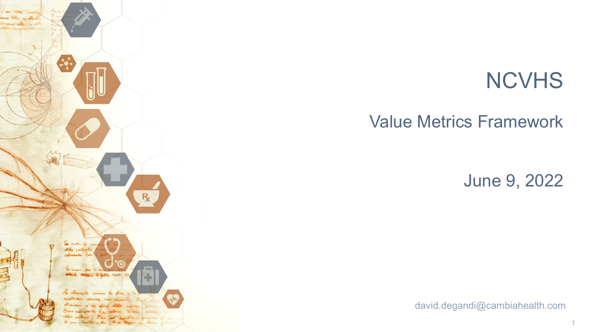

# **NCVHS**

# Value Metrics Framework

June 9, 2022

david.degandi@cambiahealth.com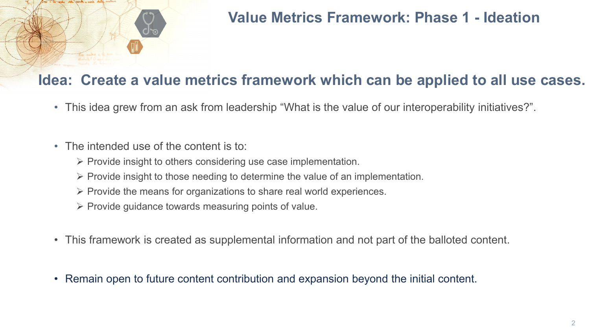

# **Value Metrics Framework: Phase 1 - Ideation**

### **Idea: Create a value metrics framework which can be applied to all use cases.**

- This idea grew from an ask from leadership "What is the value of our interoperability initiatives?".
- The intended use of the content is to:
	- $\triangleright$  Provide insight to others considering use case implementation.
	- $\triangleright$  Provide insight to those needing to determine the value of an implementation.
	- $\triangleright$  Provide the means for organizations to share real world experiences.
	- $\triangleright$  Provide guidance towards measuring points of value.
- This framework is created as supplemental information and not part of the balloted content.
- Remain open to future content contribution and expansion beyond the initial content.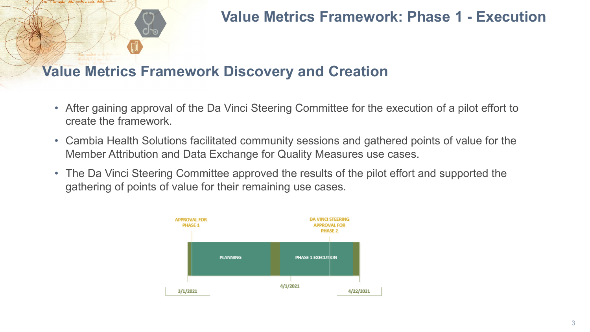# **Value Metrics Framework: Phase 1 - Execution**

### **Value Metrics Framework Discovery and Creation**

- After gaining approval of the Da Vinci Steering Committee for the execution of a pilot effort to create the framework.
- Cambia Health Solutions facilitated community sessions and gathered points of value for the Member Attribution and Data Exchange for Quality Measures use cases.
- The Da Vinci Steering Committee approved the results of the pilot effort and supported the gathering of points of value for their remaining use cases.

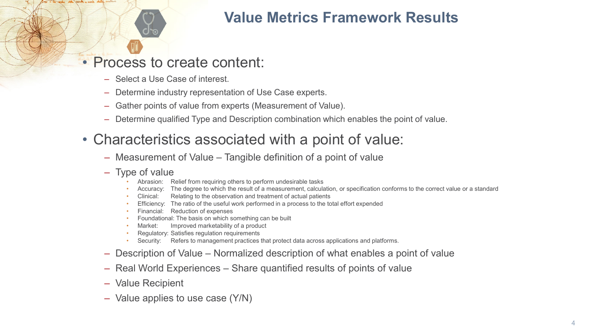# **Value Metrics Framework Results**

• Process to create content:

- ‒ Select a Use Case of interest.
- ‒ Determine industry representation of Use Case experts.
- ‒ Gather points of value from experts (Measurement of Value).
- ‒ Determine qualified Type and Description combination which enables the point of value.
- Characteristics associated with a point of value:
	- ‒ Measurement of Value Tangible definition of a point of value

#### - Type of value

- Abrasion: Relief from requiring others to perform undesirable tasks
- Accuracy: The degree to which the result of a measurement, calculation, or specification conforms to the correct value or a standard
- Clinical: Relating to the observation and treatment of actual patients
- Efficiency: The ratio of the useful work performed in a process to the total effort expended
- Financial: Reduction of expenses
- Foundational: The basis on which something can be built
- Market: Improved marketability of a product
- Regulatory: Satisfies regulation requirements
- Security: Refers to management practices that protect data across applications and platforms.
- ‒ Description of Value Normalized description of what enables a point of value
- ‒ Real World Experiences Share quantified results of points of value
- ‒ Value Recipient
- ‒ Value applies to use case (Y/N)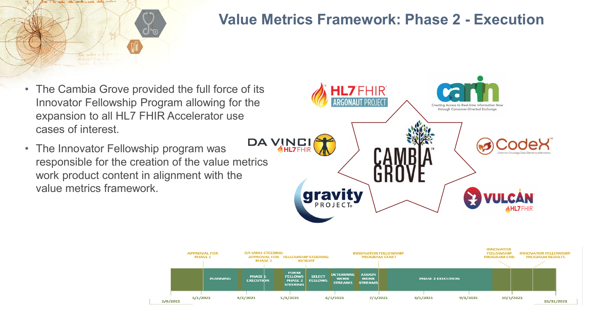

## **Value Metrics Framework: Phase 2 - Execution**

- The Cambia Grove provided the full force of its Innovator Fellowship Program allowing for the expansion to all HL7 FHIR Accelerator use cases of interest.
- The Innovator Fellowship program was responsible for the creation of the value metrics work product content in alignment with the value metrics framework.



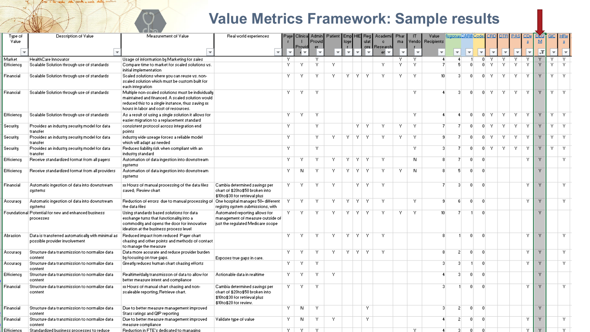# **Value Metrics Framework: Sample results**

|                  | <b><i>COLLECTION</i></b>                                                           | $\sim$ $\sim$ $\sim$ $\sim$ $\sim$ $\sim$                                                                                                                                                            |                                                                                                                             |                         |         |                                |                                          |              |           |      |                               |    |                          |                           |                   |                         |                         |                          |                         |    |                |            |    |        |
|------------------|------------------------------------------------------------------------------------|------------------------------------------------------------------------------------------------------------------------------------------------------------------------------------------------------|-----------------------------------------------------------------------------------------------------------------------------|-------------------------|---------|--------------------------------|------------------------------------------|--------------|-----------|------|-------------------------------|----|--------------------------|---------------------------|-------------------|-------------------------|-------------------------|--------------------------|-------------------------|----|----------------|------------|----|--------|
| Type of<br>Value | Description of Value                                                               | Measurement of Value                                                                                                                                                                                 | Real world experiences                                                                                                      | Paye                    |         | Provid                         | Clinical Admin   Patient   Emp  HIE  Reg | loye         |           | ulat | Academil Phar<br>$\mathbf{c}$ | ma |                          | Value<br>Vendo Recipients | ArgonauDARINCode> |                         |                         |                          | CRDI DTBI PASI          |    | <u>CDe</u>     | DEQ<br>м   |    |        |
|                  |                                                                                    |                                                                                                                                                                                                      | $\overline{\phantom{a}}$                                                                                                    | $\overline{\mathbf{v}}$ | Provid  | er.<br>$\overline{\mathbf{v}}$ |                                          | $\mathbf{L}$ | ÷         |      | oru Research<br>er∣ —         |    | $\overline{\phantom{a}}$ | $\overline{\mathbf{v}}$   | ÷                 | $\overline{\mathbf{v}}$ | $\overline{\mathbf{v}}$ | $\overline{\phantom{a}}$ | $\overline{\mathbf{v}}$ |    |                | $\sqrt{1}$ |    |        |
| Market           | HealthCare Innovator                                                               | Usage of information by Marketing for sales                                                                                                                                                          |                                                                                                                             | Y                       |         |                                |                                          |              |           |      |                               | Y  | Y.                       | $\overline{4}$            |                   |                         | 0.                      | Y                        | Y.                      | Y  |                |            | Y  |        |
| Efficiency       | Scalable Solution through use of standards                                         | Compare time to market for scaled solutions vs.<br>initial implementation                                                                                                                            |                                                                                                                             | Y                       | Y       | Y                              | Y.                                       |              |           |      | Y.                            | Y  | Y.                       | -7                        | 5.                | -n l                    | 0 <sup>1</sup>          | Y.                       | Y.                      | Y  | Y.             | Y.         | Y. | Y.     |
| Financial        | Scalable Solution through use of standards                                         | Scaled solutions where you can reuse vs. non-<br>scaled solution which must be custom built for<br>each integration                                                                                  |                                                                                                                             | Y.                      | Y       | Y.                             | Y                                        | Y.           | -Y L      | -Y   |                               | Y  | Y.                       | 10 <sup>10</sup>          | -31               |                         | 0.                      | LY.                      | Y.                      | Y. | Y.             | Y.         | Y. | -Y.    |
| Financial        | Scalable Solution through use of standards                                         | Multiple non-scaled solutions must be individually<br>maintained and financed. A scaled solution would<br>reduced this to a single instance, thus saving xx<br>hours in labor and cost of resources. |                                                                                                                             | Y.                      | Y.      | Y.                             |                                          |              |           |      |                               |    | Y                        |                           | 3.                |                         |                         | $0$ $Y$ $\vdash$         | - Y - I                 | Y. | Y.             | Y.         | Y. | Ϋ́.    |
| Efficiency       | Scalable Solution through use of standards                                         | As a result of using a single solution it allows for<br>easier migration to a replacement standard                                                                                                   |                                                                                                                             | Y.                      | Y.      | Y.                             |                                          |              |           |      |                               |    | Y.                       | -4                        | 4                 | $\Omega$                | 0 <sup>1</sup>          | -Y.                      | Y.                      | Y. | Y.             | Y.         | Y. | - Y    |
| Security         | Provides an industry security model for data<br>  transfer                         | consistent protocol across integration end<br>points                                                                                                                                                 |                                                                                                                             | Y.                      |         | Y.                             |                                          |              | YIY       |      | Y.                            | Υ. | Y.                       | -7                        |                   | $\Omega$                | $\overline{0}$          | -Y.                      | Y.                      | Y. | Ϋ́.            | Y.         | Y. | -Y     |
| Security         | Provides an industry security model for data<br>transfer                           | industry wide useage forces a reliable model<br>which will adapt as needed                                                                                                                           |                                                                                                                             | Y                       |         | Y.                             | Y.                                       | Y I          | - Y - Y   |      | Y                             | Y  | -Y                       | 8                         |                   |                         | 0.                      | Y.                       | Y.                      | Y. | Y.             | Y.         | Y. | Ϋ́.    |
| Security         | Provides an industry security model for data<br>transfer                           | Reduces liability risk when compliant with an<br>industry standard                                                                                                                                   |                                                                                                                             | Y.                      |         | Y.                             |                                          |              |           |      |                               |    | Y                        | 3                         |                   |                         | $\Omega$                | Y.                       | Y.                      | Y. | Y.             | Y.         | Y. | ΙY.    |
| Efficiency       | Receive standardized format from all payers                                        | Automation of data ingestion into downstream<br>systems                                                                                                                                              |                                                                                                                             | Y.                      | Y       | Y.                             | Y.                                       |              | YIYIY     |      | Y.                            |    | N.                       | 8.                        | 7                 | $\Omega$                | $\Omega$                |                          |                         |    | Y              | Ÿ          |    | Y.     |
| Efficiency       | Receive standardized format from all providers                                     | Automation of data ingestion into downstream<br>systems                                                                                                                                              |                                                                                                                             | Y.                      | N       | Y.                             | Y.                                       |              | Y   Y   Y |      | Y.                            | Y  | N.                       | 8                         | 5.                | $\Omega$                | $\Omega$                |                          |                         |    |                | Ÿ.         |    |        |
| Financial        | Automatic ingestion of data into downstream<br>systems                             | as Hours of manual processing of the data files<br>saved: Review chart                                                                                                                               | Cambia determined savings per<br>chart of \$20to\$50 broken into<br>\$10to\$30 for retrieval plus                           | Y.                      | Y.      | M                              | Y.                                       |              | ΥI        | -Y   | Y.                            |    |                          |                           | 3.                | $\Omega$                | $\Omega$                |                          |                         |    | $\overline{Y}$ | Ÿ.         |    | Y.     |
| Accuracy         | Automatic ingestion of data into downstream<br>systems                             | Reduction of errors due to manual processing of   One hospital manages 50+ different<br>the data files                                                                                               | registry system submissions, with                                                                                           |                         | Y.      | Y.                             | Y.                                       | Y.           | -Y L      | - Y  | Y.                            |    | -Y                       | -9                        | 6.                | $\Omega$                | $\Omega$                |                          |                         |    | Y.             | Y.         |    | Y.     |
|                  | Foundational Potential for new and enhanced business<br>processes                  | Using standards based solutions for data<br>exchange turns that functionality into a<br>commodity and opens the door for innovative<br>ideation at the business process level                        | Automated reporting allows for<br>management of measure outside of<br>just the regulated Medicare scope.                    |                         | Y.      |                                | M                                        | Y.           | Y.        |      |                               |    | Y.                       | 10 <sup>1</sup>           |                   |                         | $\Omega$                |                          |                         |    |                | Ÿ.         |    |        |
| Abrasion         | Data is transferred automatically with minimal as<br>possible provider involvement | Reduced impact from reduced Pager chart<br>chasing and other points and methods of contact<br>to manage the measure                                                                                  |                                                                                                                             | Y.                      | Y.      | Y.                             | Y.                                       |              | Y   Y   Y |      | Y.                            |    |                          | 8                         |                   | $\Omega$                | $\Omega$                |                          |                         |    | Y.             | Y.         |    | Y.     |
| Accuracy         | Structure data transmission to normalize data<br>content                           | Data more accurate and reduce provider burden<br>by focusing on true gaps.                                                                                                                           | Exposes true gaps in care.                                                                                                  | Y.                      | Y.      | Y.                             | Y.                                       |              | YIYIY     |      | Ϋ́.                           |    |                          | 8                         | 2 <sup>1</sup>    | $\Omega$                | -0.                     |                          |                         |    | Y.             | Y.         |    | Y.     |
| Accuracy         | Structure data transmission to normalize data<br>content                           | Greatly reduces human chart chasing efforts                                                                                                                                                          |                                                                                                                             | Y.                      | Y       | Y                              |                                          |              |           |      |                               |    |                          | з                         | 3                 |                         | $\Omega$                |                          |                         |    | Y.             | Y.         |    | Y.     |
| Efficiency       | Structure data transmission to normalize data<br>content                           | Realtime/daily transmisson of data to allow for<br>better measure intent and compliance                                                                                                              | Actionable data in realtime                                                                                                 | Y.                      | Y.      | Y.                             | Y.                                       |              |           |      |                               |    |                          |                           | $\overline{3}$    | $\Omega$                | $\Omega$                |                          |                         |    |                | Ÿ.         |    |        |
| Financial        | Structure data transmission to normalize data<br>content                           | as Hours of manual chart chasing and non-<br>scaleable reporting; Retrieve chart.                                                                                                                    | Cambia determined savings per<br>chart of \$20to\$50 broken into<br>\$10to\$30 for retrieval plus<br>\$10to\$20 for review. | Y.                      | Y.      | Y                              |                                          |              |           |      |                               |    |                          |                           |                   | $\Omega$                | $\Omega$                |                          |                         |    | Y.             | Y.         |    | Y.     |
| Financial        | Structure data transmission to normalize data<br>content                           | Due to better measure management improved<br>Stars ratings and QIP reporting                                                                                                                         |                                                                                                                             | Y.                      | N       | Y                              |                                          |              |           | -Y   |                               |    |                          | 3                         | $\overline{2}$    | $\overline{0}$          | $\vert 0 \vert$         |                          |                         |    |                | Ÿ.         |    |        |
| Financial        | Structure data transmission to normalize data<br>content                           | Due to better measure management improved<br>measure compliance                                                                                                                                      | Validate type of value                                                                                                      | Y.                      | N       | Y.                             | Y.                                       |              |           | Y.   |                               |    |                          |                           | 21                | $\Omega$                | $\Omega$                |                          |                         |    | Y.             | Y.         |    | Y.     |
| Efficiencu       | Standardized business processes to reduce i                                        | Reduction in FTE's dedicated to managing                                                                                                                                                             |                                                                                                                             |                         | $Y = Y$ | <b>V</b>                       |                                          |              |           |      |                               |    | v.                       | $\mathbf{A}$              | -21               | -O.                     | - O                     |                          |                         |    | Y.             | v.         |    | $\sim$ |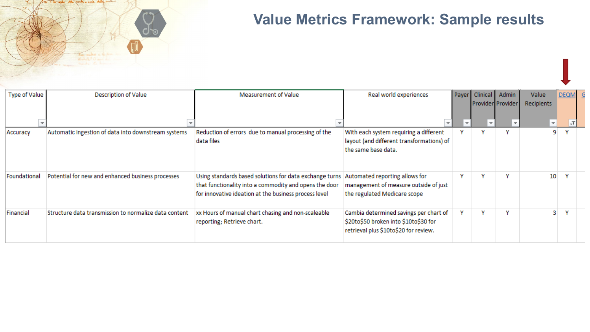

# **Value Metrics Framework: Sample results**

| <b>Type of Value</b> | <b>Description of Value</b>                           | Measurement of Value                                                                                                                                                       | Real world experiences                                                                                                   |   | Payer Clinical           | Admin<br>Provider Provider | Value<br>Recipients      | <b>DEQM</b> |  |
|----------------------|-------------------------------------------------------|----------------------------------------------------------------------------------------------------------------------------------------------------------------------------|--------------------------------------------------------------------------------------------------------------------------|---|--------------------------|----------------------------|--------------------------|-------------|--|
|                      |                                                       |                                                                                                                                                                            | $\overline{\phantom{a}}$                                                                                                 |   | $\overline{\phantom{a}}$ |                            | $\overline{\phantom{a}}$ |             |  |
| Accuracy             | Automatic ingestion of data into downstream systems   | Reduction of errors due to manual processing of the<br>data files                                                                                                          | With each system requiring a different<br>layout (and different transformations) of<br>the same base data.               |   |                          |                            |                          |             |  |
| Foundational         | Potential for new and enhanced business processes     | Using standards based solutions for data exchange turns<br>that functionality into a commodity and opens the door<br>for innovative ideation at the business process level | Automated reporting allows for<br>management of measure outside of just<br>the regulated Medicare scope                  |   |                          |                            | 10                       |             |  |
| Financial            | Structure data transmission to normalize data content | xx Hours of manual chart chasing and non-scaleable<br>reporting; Retrieve chart.                                                                                           | Cambia determined savings per chart of<br>\$20to\$50 broken into \$10to\$30 for<br>retrieval plus \$10to\$20 for review. | v |                          |                            |                          |             |  |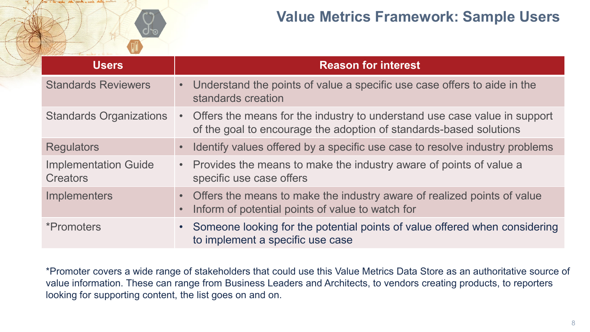

# **Value Metrics Framework: Sample Users**

| <b>Users</b>                                   | <b>Reason for interest</b>                                                                                                                        |
|------------------------------------------------|---------------------------------------------------------------------------------------------------------------------------------------------------|
| <b>Standards Reviewers</b>                     | • Understand the points of value a specific use case offers to aide in the<br>standards creation                                                  |
| <b>Standards Organizations</b>                 | • Offers the means for the industry to understand use case value in support<br>of the goal to encourage the adoption of standards-based solutions |
| <b>Regulators</b>                              | Identify values offered by a specific use case to resolve industry problems                                                                       |
| <b>Implementation Guide</b><br><b>Creators</b> | • Provides the means to make the industry aware of points of value a<br>specific use case offers                                                  |
| <b>Implementers</b>                            | • Offers the means to make the industry aware of realized points of value<br>Inform of potential points of value to watch for                     |
| <i>*Promoters</i>                              | Someone looking for the potential points of value offered when considering<br>to implement a specific use case                                    |

\*Promoter covers a wide range of stakeholders that could use this Value Metrics Data Store as an authoritative source of value information. These can range from Business Leaders and Architects, to vendors creating products, to reporters looking for supporting content, the list goes on and on.